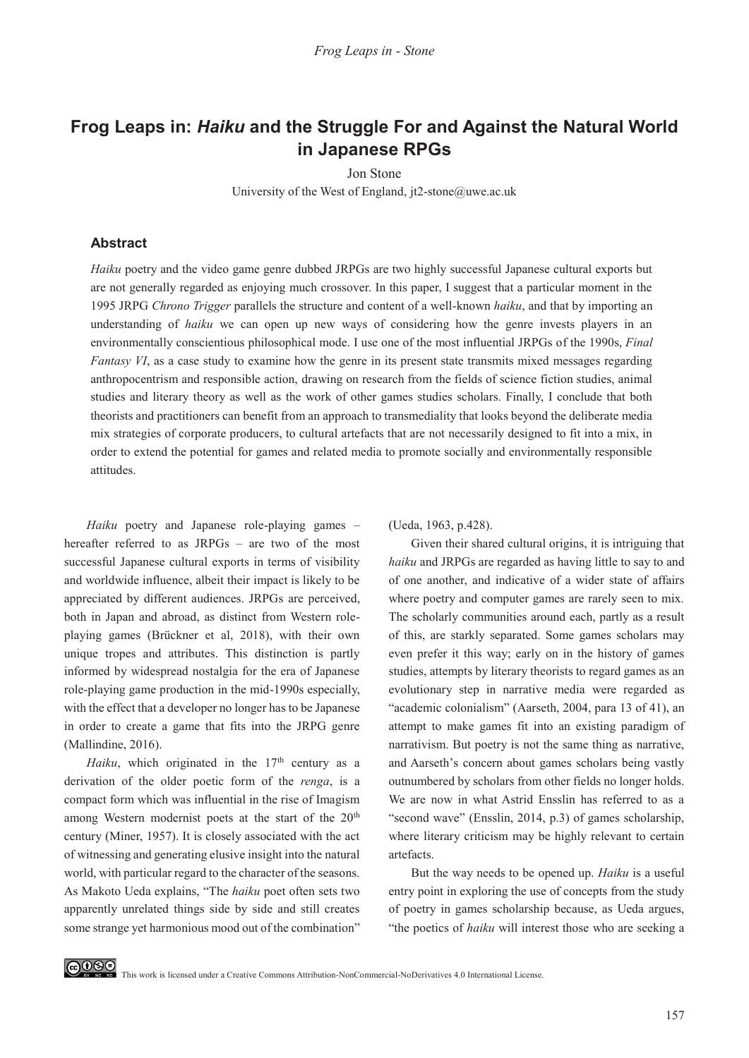# **Frog Leaps in:** *Haiku* **and the Struggle For and Against the Natural World in Japanese RPGs**

Jon Stone

University of the West of England, jt2-stone@uwe.ac.uk

#### **Abstract**

*Haiku* poetry and the video game genre dubbed JRPGs are two highly successful Japanese cultural exports but are not generally regarded as enjoying much crossover. In this paper, I suggest that a particular moment in the 1995 JRPG *Chrono Trigger* parallels the structure and content of a well-known *haiku*, and that by importing an understanding of *haiku* we can open up new ways of considering how the genre invests players in an environmentally conscientious philosophical mode. I use one of the most influential JRPGs of the 1990s, *Final Fantasy VI*, as a case study to examine how the genre in its present state transmits mixed messages regarding anthropocentrism and responsible action, drawing on research from the fields of science fiction studies, animal studies and literary theory as well as the work of other games studies scholars. Finally, I conclude that both theorists and practitioners can benefit from an approach to transmediality that looks beyond the deliberate media mix strategies of corporate producers, to cultural artefacts that are not necessarily designed to fit into a mix, in order to extend the potential for games and related media to promote socially and environmentally responsible attitudes.

*Haiku* poetry and Japanese role-playing games – hereafter referred to as JRPGs – are two of the most successful Japanese cultural exports in terms of visibility and worldwide influence, albeit their impact is likely to be appreciated by different audiences. JRPGs are perceived, both in Japan and abroad, as distinct from Western roleplaying games (Brückner et al, 2018), with their own unique tropes and attributes. This distinction is partly informed by widespread nostalgia for the era of Japanese role-playing game production in the mid-1990s especially, with the effect that a developer no longer has to be Japanese in order to create a game that fits into the JRPG genre (Mallindine, 2016).

*Haiku*, which originated in the  $17<sup>th</sup>$  century as a derivation of the older poetic form of the *renga*, is a compact form which was influential in the rise of Imagism among Western modernist poets at the start of the 20<sup>th</sup> century (Miner, 1957). It is closely associated with the act of witnessing and generating elusive insight into the natural world, with particular regard to the character of the seasons. As Makoto Ueda explains, "The *haiku* poet often sets two apparently unrelated things side by side and still creates some strange yet harmonious mood out of the combination" (Ueda, 1963, p.428).

Given their shared cultural origins, it is intriguing that *haiku* and JRPGs are regarded as having little to say to and of one another, and indicative of a wider state of affairs where poetry and computer games are rarely seen to mix. The scholarly communities around each, partly as a result of this, are starkly separated. Some games scholars may even prefer it this way; early on in the history of games studies, attempts by literary theorists to regard games as an evolutionary step in narrative media were regarded as "academic colonialism" (Aarseth, 2004, para 13 of 41), an attempt to make games fit into an existing paradigm of narrativism. But poetry is not the same thing as narrative, and Aarseth's concern about games scholars being vastly outnumbered by scholars from other fields no longer holds. We are now in what Astrid Ensslin has referred to as a "second wave" (Ensslin, 2014, p.3) of games scholarship, where literary criticism may be highly relevant to certain artefacts.

But the way needs to be opened up. *Haiku* is a useful entry point in exploring the use of concepts from the study of poetry in games scholarship because, as Ueda argues, "the poetics of *haiku* will interest those who are seeking a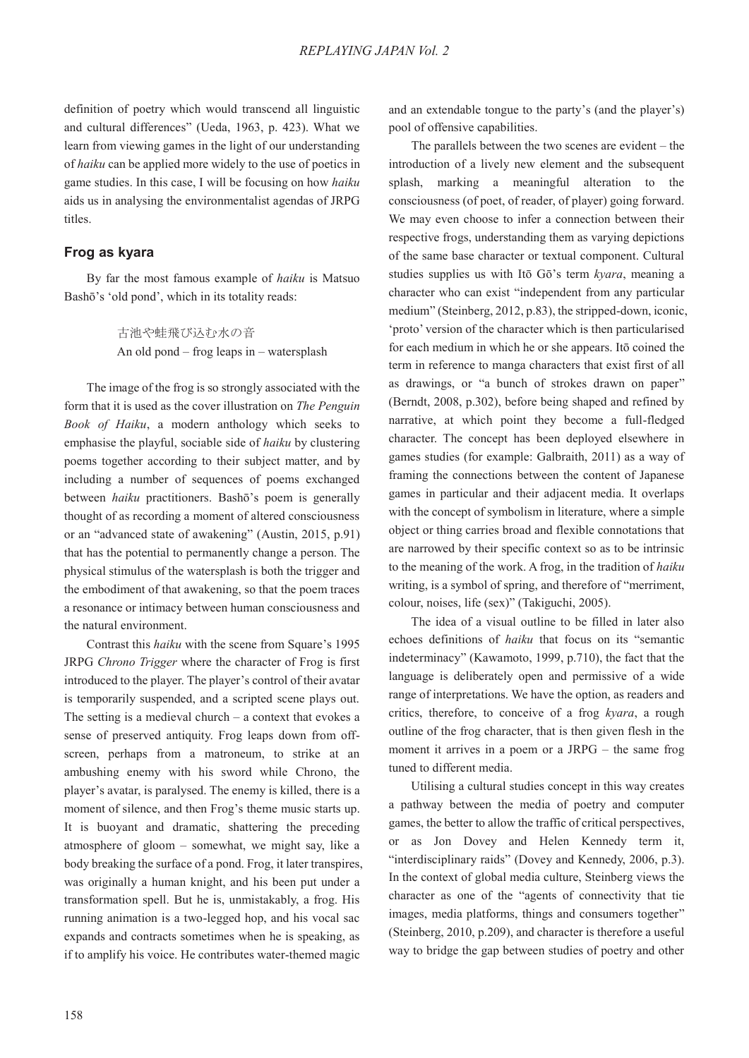definition of poetry which would transcend all linguistic and cultural differences" (Ueda, 1963, p. 423). What we learn from viewing games in the light of our understanding of *haiku* can be applied more widely to the use of poetics in game studies. In this case, I will be focusing on how *haiku*  aids us in analysing the environmentalist agendas of JRPG titles.

#### **Frog as kyara**

By far the most famous example of *haiku* is Matsuo Bashō's 'old pond', which in its totality reads:

> 古池や蛙飛び込む水の音 An old pond – frog leaps in – watersplash

The image of the frog is so strongly associated with the form that it is used as the cover illustration on *The Penguin Book of Haiku*, a modern anthology which seeks to emphasise the playful, sociable side of *haiku* by clustering poems together according to their subject matter, and by including a number of sequences of poems exchanged between *haiku* practitioners. Bashō's poem is generally thought of as recording a moment of altered consciousness or an "advanced state of awakening" (Austin, 2015, p.91) that has the potential to permanently change a person. The physical stimulus of the watersplash is both the trigger and the embodiment of that awakening, so that the poem traces a resonance or intimacy between human consciousness and the natural environment.

Contrast this *haiku* with the scene from Square's 1995 JRPG *Chrono Trigger* where the character of Frog is first introduced to the player. The player's control of their avatar is temporarily suspended, and a scripted scene plays out. The setting is a medieval church – a context that evokes a sense of preserved antiquity. Frog leaps down from offscreen, perhaps from a matroneum, to strike at an ambushing enemy with his sword while Chrono, the player's avatar, is paralysed. The enemy is killed, there is a moment of silence, and then Frog's theme music starts up. It is buoyant and dramatic, shattering the preceding atmosphere of gloom – somewhat, we might say, like a body breaking the surface of a pond. Frog, it later transpires, was originally a human knight, and his been put under a transformation spell. But he is, unmistakably, a frog. His running animation is a two-legged hop, and his vocal sac expands and contracts sometimes when he is speaking, as if to amplify his voice. He contributes water-themed magic

and an extendable tongue to the party's (and the player's) pool of offensive capabilities.

The parallels between the two scenes are evident – the introduction of a lively new element and the subsequent splash, marking a meaningful alteration to the consciousness (of poet, of reader, of player) going forward. We may even choose to infer a connection between their respective frogs, understanding them as varying depictions of the same base character or textual component. Cultural studies supplies us with Itō Gō's term *kyara*, meaning a character who can exist "independent from any particular medium" (Steinberg, 2012, p.83), the stripped-down, iconic, 'proto' version of the character which is then particularised for each medium in which he or she appears. Itō coined the term in reference to manga characters that exist first of all as drawings, or "a bunch of strokes drawn on paper" (Berndt, 2008, p.302), before being shaped and refined by narrative, at which point they become a full-fledged character. The concept has been deployed elsewhere in games studies (for example: Galbraith, 2011) as a way of framing the connections between the content of Japanese games in particular and their adjacent media. It overlaps with the concept of symbolism in literature, where a simple object or thing carries broad and flexible connotations that are narrowed by their specific context so as to be intrinsic to the meaning of the work. A frog, in the tradition of *haiku*  writing, is a symbol of spring, and therefore of "merriment, colour, noises, life (sex)" (Takiguchi, 2005).

The idea of a visual outline to be filled in later also echoes definitions of *haiku* that focus on its "semantic indeterminacy" (Kawamoto, 1999, p.710), the fact that the language is deliberately open and permissive of a wide range of interpretations. We have the option, as readers and critics, therefore, to conceive of a frog *kyara*, a rough outline of the frog character, that is then given flesh in the moment it arrives in a poem or a JRPG – the same frog tuned to different media.

Utilising a cultural studies concept in this way creates a pathway between the media of poetry and computer games, the better to allow the traffic of critical perspectives, or as Jon Dovey and Helen Kennedy term it, "interdisciplinary raids" (Dovey and Kennedy, 2006, p.3). In the context of global media culture, Steinberg views the character as one of the "agents of connectivity that tie images, media platforms, things and consumers together" (Steinberg, 2010, p.209), and character is therefore a useful way to bridge the gap between studies of poetry and other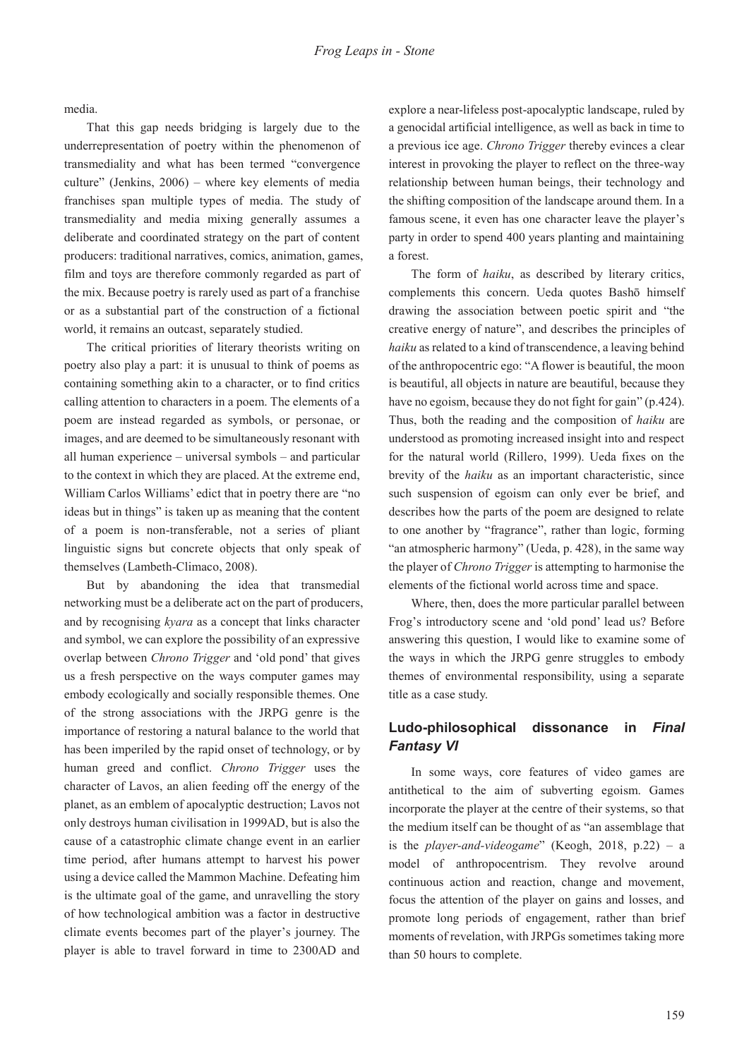media.

That this gap needs bridging is largely due to the underrepresentation of poetry within the phenomenon of transmediality and what has been termed "convergence culture" (Jenkins, 2006) – where key elements of media franchises span multiple types of media. The study of transmediality and media mixing generally assumes a deliberate and coordinated strategy on the part of content producers: traditional narratives, comics, animation, games, film and toys are therefore commonly regarded as part of the mix. Because poetry is rarely used as part of a franchise or as a substantial part of the construction of a fictional world, it remains an outcast, separately studied.

The critical priorities of literary theorists writing on poetry also play a part: it is unusual to think of poems as containing something akin to a character, or to find critics calling attention to characters in a poem. The elements of a poem are instead regarded as symbols, or personae, or images, and are deemed to be simultaneously resonant with all human experience – universal symbols – and particular to the context in which they are placed. At the extreme end, William Carlos Williams' edict that in poetry there are "no ideas but in things" is taken up as meaning that the content of a poem is non-transferable, not a series of pliant linguistic signs but concrete objects that only speak of themselves (Lambeth-Climaco, 2008).

But by abandoning the idea that transmedial networking must be a deliberate act on the part of producers, and by recognising *kyara* as a concept that links character and symbol, we can explore the possibility of an expressive overlap between *Chrono Trigger* and 'old pond' that gives us a fresh perspective on the ways computer games may embody ecologically and socially responsible themes. One of the strong associations with the JRPG genre is the importance of restoring a natural balance to the world that has been imperiled by the rapid onset of technology, or by human greed and conflict. *Chrono Trigger* uses the character of Lavos, an alien feeding off the energy of the planet, as an emblem of apocalyptic destruction; Lavos not only destroys human civilisation in 1999AD, but is also the cause of a catastrophic climate change event in an earlier time period, after humans attempt to harvest his power using a device called the Mammon Machine. Defeating him is the ultimate goal of the game, and unravelling the story of how technological ambition was a factor in destructive climate events becomes part of the player's journey. The player is able to travel forward in time to 2300AD and

explore a near-lifeless post-apocalyptic landscape, ruled by a genocidal artificial intelligence, as well as back in time to a previous ice age. *Chrono Trigger* thereby evinces a clear interest in provoking the player to reflect on the three-way relationship between human beings, their technology and the shifting composition of the landscape around them. In a famous scene, it even has one character leave the player's party in order to spend 400 years planting and maintaining a forest.

The form of *haiku*, as described by literary critics, complements this concern. Ueda quotes Bashō himself drawing the association between poetic spirit and "the creative energy of nature", and describes the principles of *haiku* as related to a kind of transcendence, a leaving behind of the anthropocentric ego: "A flower is beautiful, the moon is beautiful, all objects in nature are beautiful, because they have no egoism, because they do not fight for gain" (p.424). Thus, both the reading and the composition of *haiku* are understood as promoting increased insight into and respect for the natural world (Rillero, 1999). Ueda fixes on the brevity of the *haiku* as an important characteristic, since such suspension of egoism can only ever be brief, and describes how the parts of the poem are designed to relate to one another by "fragrance", rather than logic, forming "an atmospheric harmony" (Ueda, p. 428), in the same way the player of *Chrono Trigger* is attempting to harmonise the elements of the fictional world across time and space.

Where, then, does the more particular parallel between Frog's introductory scene and 'old pond' lead us? Before answering this question, I would like to examine some of the ways in which the JRPG genre struggles to embody themes of environmental responsibility, using a separate title as a case study.

## **Ludo-philosophical dissonance in** *Final Fantasy VI*

In some ways, core features of video games are antithetical to the aim of subverting egoism. Games incorporate the player at the centre of their systems, so that the medium itself can be thought of as "an assemblage that is the *player-and-videogame*" (Keogh, 2018, p.22) – a model of anthropocentrism. They revolve around continuous action and reaction, change and movement, focus the attention of the player on gains and losses, and promote long periods of engagement, rather than brief moments of revelation, with JRPGs sometimes taking more than 50 hours to complete.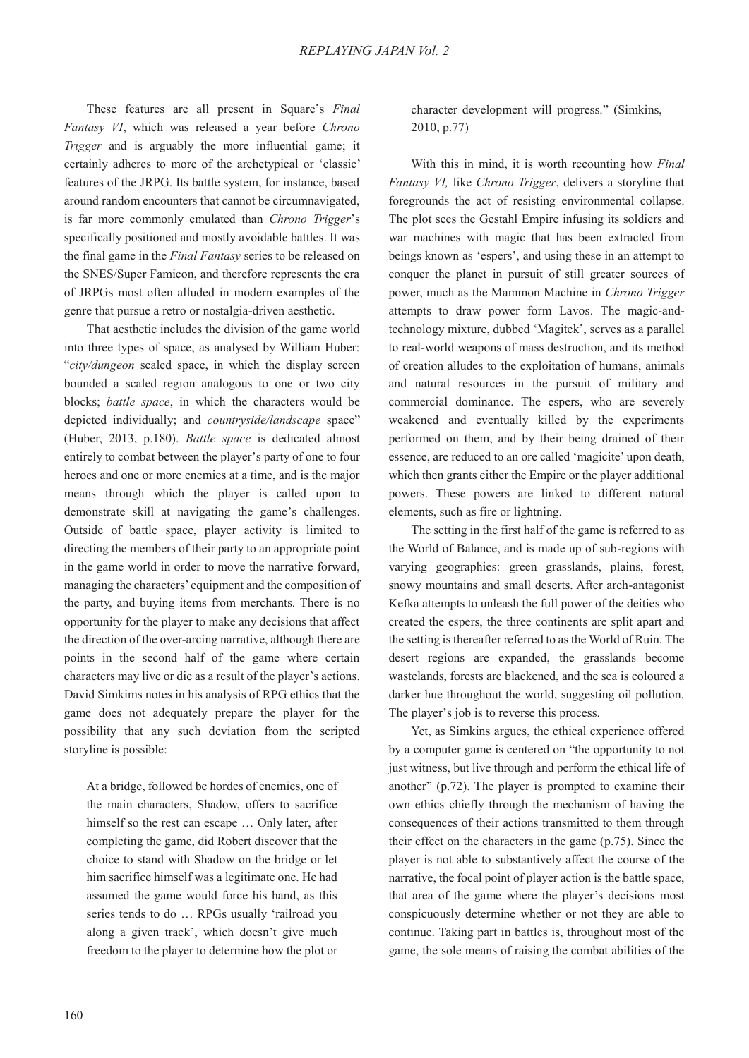These features are all present in Square's *Final Fantasy VI*, which was released a year before *Chrono Trigger* and is arguably the more influential game; it certainly adheres to more of the archetypical or 'classic' features of the JRPG. Its battle system, for instance, based around random encounters that cannot be circumnavigated, is far more commonly emulated than *Chrono Trigger*'s specifically positioned and mostly avoidable battles. It was the final game in the *Final Fantasy* series to be released on the SNES/Super Famicon, and therefore represents the era of JRPGs most often alluded in modern examples of the genre that pursue a retro or nostalgia-driven aesthetic.

That aesthetic includes the division of the game world into three types of space, as analysed by William Huber: "*city/dungeon* scaled space, in which the display screen bounded a scaled region analogous to one or two city blocks; *battle space*, in which the characters would be depicted individually; and *countryside/landscape* space" (Huber, 2013, p.180). *Battle space* is dedicated almost entirely to combat between the player's party of one to four heroes and one or more enemies at a time, and is the major means through which the player is called upon to demonstrate skill at navigating the game's challenges. Outside of battle space, player activity is limited to directing the members of their party to an appropriate point in the game world in order to move the narrative forward, managing the characters' equipment and the composition of the party, and buying items from merchants. There is no opportunity for the player to make any decisions that affect the direction of the over-arcing narrative, although there are points in the second half of the game where certain characters may live or die as a result of the player's actions. David Simkims notes in his analysis of RPG ethics that the game does not adequately prepare the player for the possibility that any such deviation from the scripted storyline is possible:

At a bridge, followed be hordes of enemies, one of the main characters, Shadow, offers to sacrifice himself so the rest can escape ... Only later, after completing the game, did Robert discover that the choice to stand with Shadow on the bridge or let him sacrifice himself was a legitimate one. He had assumed the game would force his hand, as this series tends to do … RPGs usually 'railroad you along a given track', which doesn't give much freedom to the player to determine how the plot or

character development will progress." (Simkins, 2010, p.77)

With this in mind, it is worth recounting how *Final Fantasy VI,* like *Chrono Trigger*, delivers a storyline that foregrounds the act of resisting environmental collapse. The plot sees the Gestahl Empire infusing its soldiers and war machines with magic that has been extracted from beings known as 'espers', and using these in an attempt to conquer the planet in pursuit of still greater sources of power, much as the Mammon Machine in *Chrono Trigger*  attempts to draw power form Lavos. The magic-andtechnology mixture, dubbed 'Magitek', serves as a parallel to real-world weapons of mass destruction, and its method of creation alludes to the exploitation of humans, animals and natural resources in the pursuit of military and commercial dominance. The espers, who are severely weakened and eventually killed by the experiments performed on them, and by their being drained of their essence, are reduced to an ore called 'magicite' upon death, which then grants either the Empire or the player additional powers. These powers are linked to different natural elements, such as fire or lightning.

The setting in the first half of the game is referred to as the World of Balance, and is made up of sub-regions with varying geographies: green grasslands, plains, forest, snowy mountains and small deserts. After arch-antagonist Kefka attempts to unleash the full power of the deities who created the espers, the three continents are split apart and the setting is thereafter referred to as the World of Ruin. The desert regions are expanded, the grasslands become wastelands, forests are blackened, and the sea is coloured a darker hue throughout the world, suggesting oil pollution. The player's job is to reverse this process.

Yet, as Simkins argues, the ethical experience offered by a computer game is centered on "the opportunity to not just witness, but live through and perform the ethical life of another" (p.72). The player is prompted to examine their own ethics chiefly through the mechanism of having the consequences of their actions transmitted to them through their effect on the characters in the game (p.75). Since the player is not able to substantively affect the course of the narrative, the focal point of player action is the battle space, that area of the game where the player's decisions most conspicuously determine whether or not they are able to continue. Taking part in battles is, throughout most of the game, the sole means of raising the combat abilities of the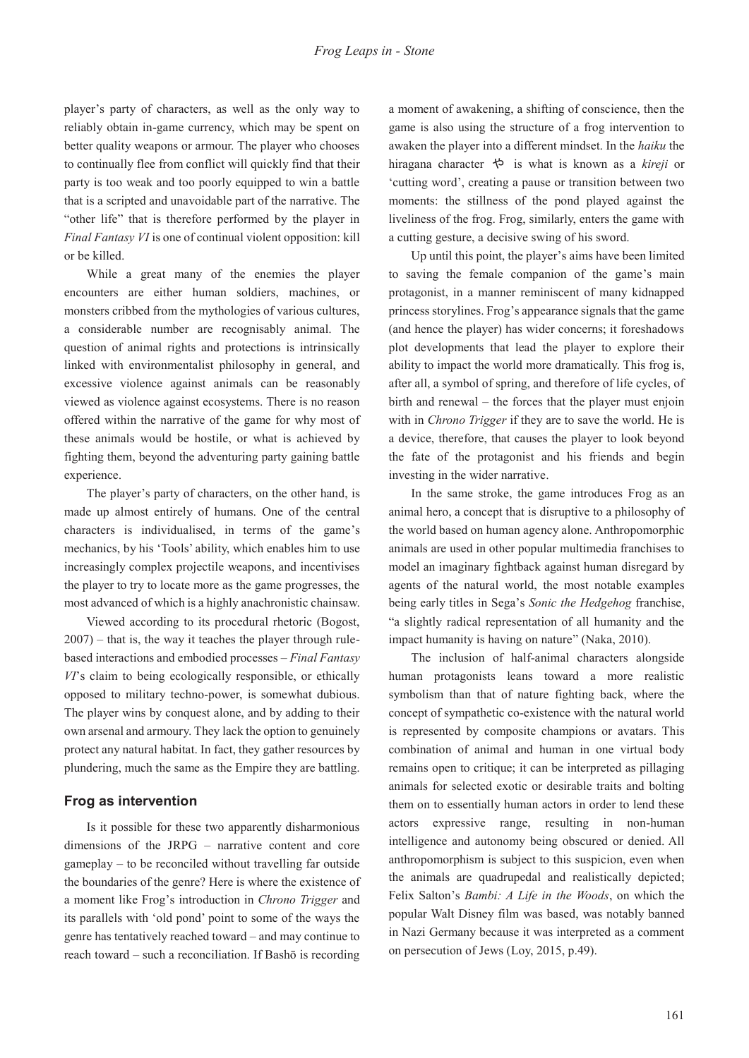player's party of characters, as well as the only way to reliably obtain in-game currency, which may be spent on better quality weapons or armour. The player who chooses to continually flee from conflict will quickly find that their party is too weak and too poorly equipped to win a battle that is a scripted and unavoidable part of the narrative. The "other life" that is therefore performed by the player in *Final Fantasy VI* is one of continual violent opposition: kill or be killed.

While a great many of the enemies the player encounters are either human soldiers, machines, or monsters cribbed from the mythologies of various cultures, a considerable number are recognisably animal. The question of animal rights and protections is intrinsically linked with environmentalist philosophy in general, and excessive violence against animals can be reasonably viewed as violence against ecosystems. There is no reason offered within the narrative of the game for why most of these animals would be hostile, or what is achieved by fighting them, beyond the adventuring party gaining battle experience.

The player's party of characters, on the other hand, is made up almost entirely of humans. One of the central characters is individualised, in terms of the game's mechanics, by his 'Tools' ability, which enables him to use increasingly complex projectile weapons, and incentivises the player to try to locate more as the game progresses, the most advanced of which is a highly anachronistic chainsaw.

Viewed according to its procedural rhetoric (Bogost, 2007) – that is, the way it teaches the player through rulebased interactions and embodied processes – *Final Fantasy VI*'s claim to being ecologically responsible, or ethically opposed to military techno-power, is somewhat dubious. The player wins by conquest alone, and by adding to their own arsenal and armoury. They lack the option to genuinely protect any natural habitat. In fact, they gather resources by plundering, much the same as the Empire they are battling.

#### **Frog as intervention**

Is it possible for these two apparently disharmonious dimensions of the JRPG – narrative content and core gameplay – to be reconciled without travelling far outside the boundaries of the genre? Here is where the existence of a moment like Frog's introduction in *Chrono Trigger* and its parallels with 'old pond' point to some of the ways the genre has tentatively reached toward – and may continue to reach toward – such a reconciliation. If Bashō is recording

a moment of awakening, a shifting of conscience, then the game is also using the structure of a frog intervention to awaken the player into a different mindset. In the *haiku* the hiragana character ࡸ is what is known as a *kireji* or 'cutting word', creating a pause or transition between two moments: the stillness of the pond played against the liveliness of the frog. Frog, similarly, enters the game with a cutting gesture, a decisive swing of his sword.

Up until this point, the player's aims have been limited to saving the female companion of the game's main protagonist, in a manner reminiscent of many kidnapped princess storylines. Frog's appearance signals that the game (and hence the player) has wider concerns; it foreshadows plot developments that lead the player to explore their ability to impact the world more dramatically. This frog is, after all, a symbol of spring, and therefore of life cycles, of birth and renewal – the forces that the player must enjoin with in *Chrono Trigger* if they are to save the world. He is a device, therefore, that causes the player to look beyond the fate of the protagonist and his friends and begin investing in the wider narrative.

In the same stroke, the game introduces Frog as an animal hero, a concept that is disruptive to a philosophy of the world based on human agency alone. Anthropomorphic animals are used in other popular multimedia franchises to model an imaginary fightback against human disregard by agents of the natural world, the most notable examples being early titles in Sega's *Sonic the Hedgehog* franchise, "a slightly radical representation of all humanity and the impact humanity is having on nature" (Naka, 2010).

The inclusion of half-animal characters alongside human protagonists leans toward a more realistic symbolism than that of nature fighting back, where the concept of sympathetic co-existence with the natural world is represented by composite champions or avatars. This combination of animal and human in one virtual body remains open to critique; it can be interpreted as pillaging animals for selected exotic or desirable traits and bolting them on to essentially human actors in order to lend these actors expressive range, resulting in non-human intelligence and autonomy being obscured or denied. All anthropomorphism is subject to this suspicion, even when the animals are quadrupedal and realistically depicted; Felix Salton's *Bambi: A Life in the Woods*, on which the popular Walt Disney film was based, was notably banned in Nazi Germany because it was interpreted as a comment on persecution of Jews (Loy, 2015, p.49).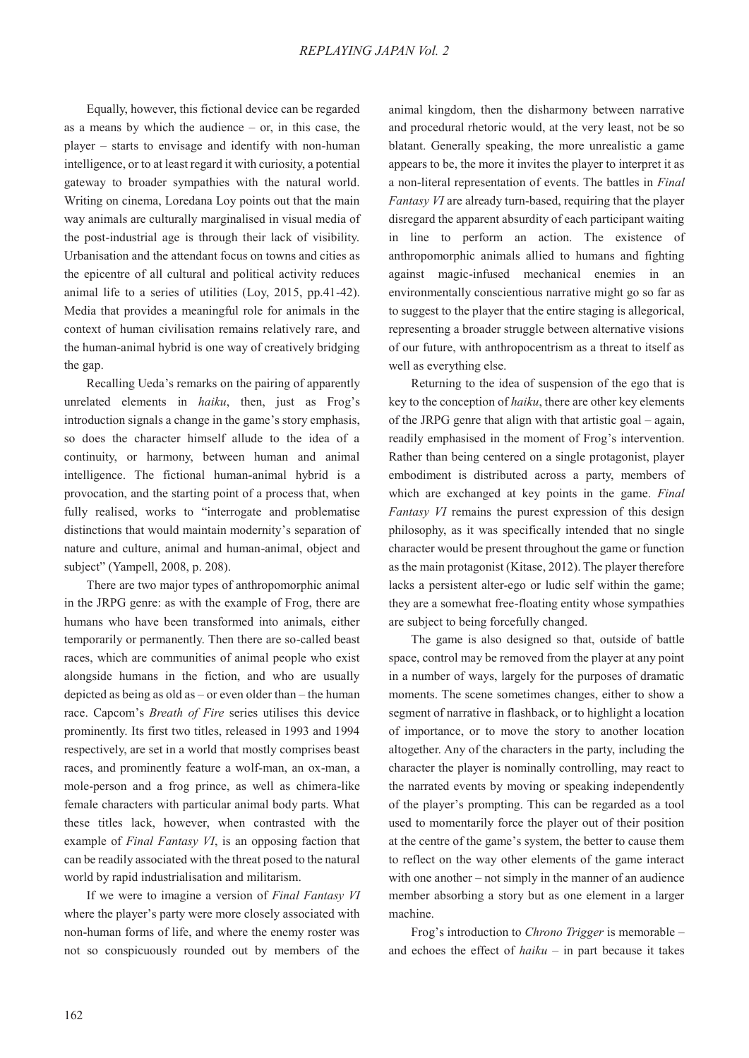Equally, however, this fictional device can be regarded as a means by which the audience – or, in this case, the player – starts to envisage and identify with non-human intelligence, or to at least regard it with curiosity, a potential gateway to broader sympathies with the natural world. Writing on cinema, Loredana Loy points out that the main way animals are culturally marginalised in visual media of the post-industrial age is through their lack of visibility. Urbanisation and the attendant focus on towns and cities as the epicentre of all cultural and political activity reduces animal life to a series of utilities (Loy, 2015, pp.41-42). Media that provides a meaningful role for animals in the context of human civilisation remains relatively rare, and the human-animal hybrid is one way of creatively bridging the gap.

Recalling Ueda's remarks on the pairing of apparently unrelated elements in *haiku*, then, just as Frog's introduction signals a change in the game's story emphasis, so does the character himself allude to the idea of a continuity, or harmony, between human and animal intelligence. The fictional human-animal hybrid is a provocation, and the starting point of a process that, when fully realised, works to "interrogate and problematise distinctions that would maintain modernity's separation of nature and culture, animal and human-animal, object and subject" (Yampell, 2008, p. 208).

There are two major types of anthropomorphic animal in the JRPG genre: as with the example of Frog, there are humans who have been transformed into animals, either temporarily or permanently. Then there are so-called beast races, which are communities of animal people who exist alongside humans in the fiction, and who are usually depicted as being as old as – or even older than – the human race. Capcom's *Breath of Fire* series utilises this device prominently. Its first two titles, released in 1993 and 1994 respectively, are set in a world that mostly comprises beast races, and prominently feature a wolf-man, an ox-man, a mole-person and a frog prince, as well as chimera-like female characters with particular animal body parts. What these titles lack, however, when contrasted with the example of *Final Fantasy VI*, is an opposing faction that can be readily associated with the threat posed to the natural world by rapid industrialisation and militarism.

If we were to imagine a version of *Final Fantasy VI* where the player's party were more closely associated with non-human forms of life, and where the enemy roster was not so conspicuously rounded out by members of the

animal kingdom, then the disharmony between narrative and procedural rhetoric would, at the very least, not be so blatant. Generally speaking, the more unrealistic a game appears to be, the more it invites the player to interpret it as a non-literal representation of events. The battles in *Final Fantasy VI* are already turn-based, requiring that the player disregard the apparent absurdity of each participant waiting in line to perform an action. The existence of anthropomorphic animals allied to humans and fighting against magic-infused mechanical enemies in an environmentally conscientious narrative might go so far as to suggest to the player that the entire staging is allegorical, representing a broader struggle between alternative visions of our future, with anthropocentrism as a threat to itself as well as everything else.

Returning to the idea of suspension of the ego that is key to the conception of *haiku*, there are other key elements of the JRPG genre that align with that artistic goal – again, readily emphasised in the moment of Frog's intervention. Rather than being centered on a single protagonist, player embodiment is distributed across a party, members of which are exchanged at key points in the game. *Final Fantasy VI* remains the purest expression of this design philosophy, as it was specifically intended that no single character would be present throughout the game or function as the main protagonist (Kitase, 2012). The player therefore lacks a persistent alter-ego or ludic self within the game; they are a somewhat free-floating entity whose sympathies are subject to being forcefully changed.

The game is also designed so that, outside of battle space, control may be removed from the player at any point in a number of ways, largely for the purposes of dramatic moments. The scene sometimes changes, either to show a segment of narrative in flashback, or to highlight a location of importance, or to move the story to another location altogether. Any of the characters in the party, including the character the player is nominally controlling, may react to the narrated events by moving or speaking independently of the player's prompting. This can be regarded as a tool used to momentarily force the player out of their position at the centre of the game's system, the better to cause them to reflect on the way other elements of the game interact with one another – not simply in the manner of an audience member absorbing a story but as one element in a larger machine.

Frog's introduction to *Chrono Trigger* is memorable – and echoes the effect of *haiku* – in part because it takes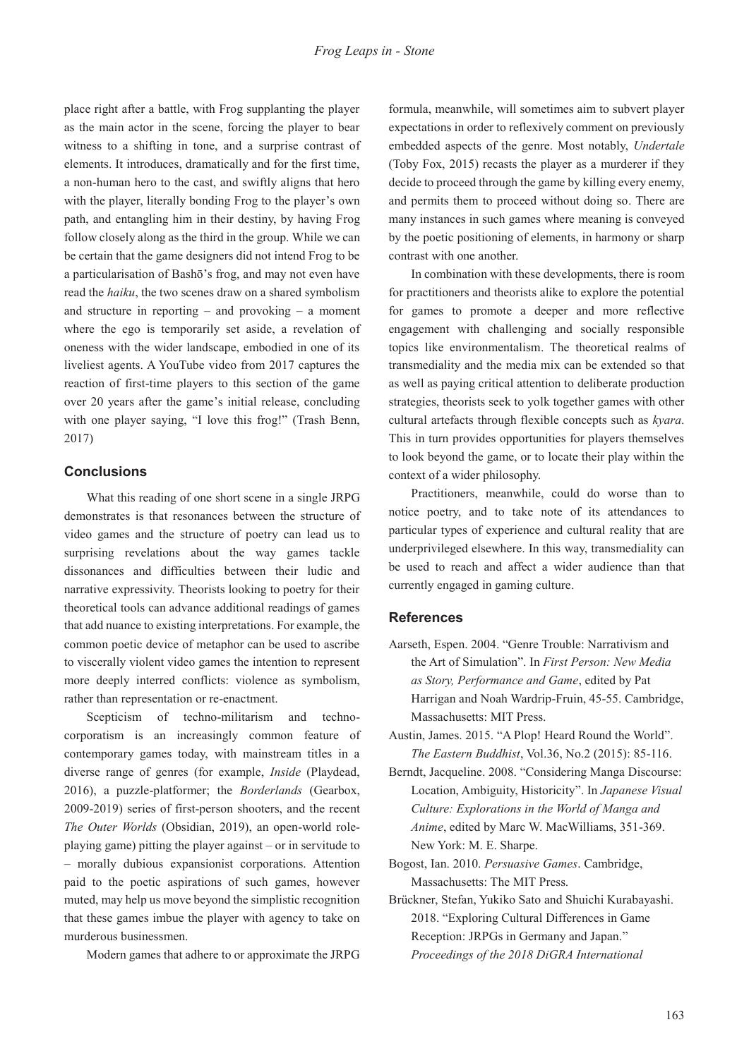place right after a battle, with Frog supplanting the player as the main actor in the scene, forcing the player to bear witness to a shifting in tone, and a surprise contrast of elements. It introduces, dramatically and for the first time, a non-human hero to the cast, and swiftly aligns that hero with the player, literally bonding Frog to the player's own path, and entangling him in their destiny, by having Frog follow closely along as the third in the group. While we can be certain that the game designers did not intend Frog to be a particularisation of Bashō's frog, and may not even have read the *haiku*, the two scenes draw on a shared symbolism and structure in reporting  $-$  and provoking  $-$  a moment where the ego is temporarily set aside, a revelation of oneness with the wider landscape, embodied in one of its liveliest agents. A YouTube video from 2017 captures the reaction of first-time players to this section of the game over 20 years after the game's initial release, concluding with one player saying, "I love this frog!" (Trash Benn, 2017)

#### **Conclusions**

What this reading of one short scene in a single JRPG demonstrates is that resonances between the structure of video games and the structure of poetry can lead us to surprising revelations about the way games tackle dissonances and difficulties between their ludic and narrative expressivity. Theorists looking to poetry for their theoretical tools can advance additional readings of games that add nuance to existing interpretations. For example, the common poetic device of metaphor can be used to ascribe to viscerally violent video games the intention to represent more deeply interred conflicts: violence as symbolism, rather than representation or re-enactment.

Scepticism of techno-militarism and technocorporatism is an increasingly common feature of contemporary games today, with mainstream titles in a diverse range of genres (for example, *Inside* (Playdead, 2016), a puzzle-platformer; the *Borderlands* (Gearbox, 2009-2019) series of first-person shooters, and the recent *The Outer Worlds* (Obsidian, 2019), an open-world roleplaying game) pitting the player against – or in servitude to – morally dubious expansionist corporations. Attention paid to the poetic aspirations of such games, however muted, may help us move beyond the simplistic recognition that these games imbue the player with agency to take on murderous businessmen.

Modern games that adhere to or approximate the JRPG

formula, meanwhile, will sometimes aim to subvert player expectations in order to reflexively comment on previously embedded aspects of the genre. Most notably, *Undertale*  (Toby Fox, 2015) recasts the player as a murderer if they decide to proceed through the game by killing every enemy, and permits them to proceed without doing so. There are many instances in such games where meaning is conveyed by the poetic positioning of elements, in harmony or sharp contrast with one another.

In combination with these developments, there is room for practitioners and theorists alike to explore the potential for games to promote a deeper and more reflective engagement with challenging and socially responsible topics like environmentalism. The theoretical realms of transmediality and the media mix can be extended so that as well as paying critical attention to deliberate production strategies, theorists seek to yolk together games with other cultural artefacts through flexible concepts such as *kyara*. This in turn provides opportunities for players themselves to look beyond the game, or to locate their play within the context of a wider philosophy.

Practitioners, meanwhile, could do worse than to notice poetry, and to take note of its attendances to particular types of experience and cultural reality that are underprivileged elsewhere. In this way, transmediality can be used to reach and affect a wider audience than that currently engaged in gaming culture.

#### **References**

- Aarseth, Espen. 2004. "Genre Trouble: Narrativism and the Art of Simulation". In *First Person: New Media as Story, Performance and Game*, edited by Pat Harrigan and Noah Wardrip-Fruin, 45-55. Cambridge, Massachusetts: MIT Press.
- Austin, James. 2015. "A Plop! Heard Round the World". *The Eastern Buddhist*, Vol.36, No.2 (2015): 85-116.
- Berndt, Jacqueline. 2008. "Considering Manga Discourse: Location, Ambiguity, Historicity". In *Japanese Visual Culture: Explorations in the World of Manga and Anime*, edited by Marc W. MacWilliams, 351-369. New York: M. E. Sharpe.
- Bogost, Ian. 2010. *Persuasive Games*. Cambridge, Massachusetts: The MIT Press.
- Brückner, Stefan, Yukiko Sato and Shuichi Kurabayashi. 2018. "Exploring Cultural Differences in Game Reception: JRPGs in Germany and Japan." *Proceedings of the 2018 DiGRA International*